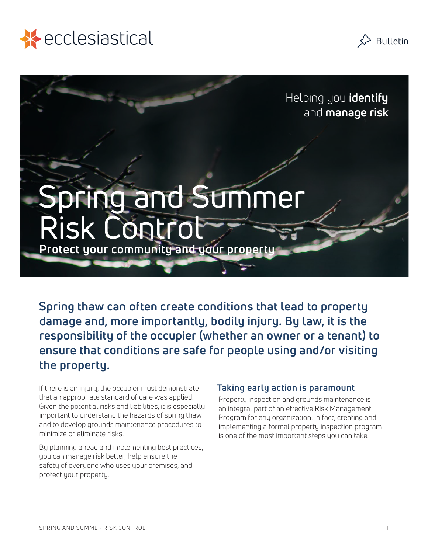



Helping you **identify** and **manage risk**

# Spring and Summer Risk Control **Protect your community and your property**

**Spring thaw can often create conditions that lead to property damage and, more importantly, bodily injury. By law, it is the responsibility of the occupier (whether an owner or a tenant) to ensure that conditions are safe for people using and/or visiting the property.**

If there is an injury, the occupier must demonstrate that an appropriate standard of care was applied. Given the potential risks and liabilities, it is especially important to understand the hazards of spring thaw and to develop grounds maintenance procedures to minimize or eliminate risks.

By planning ahead and implementing best practices, you can manage risk better, help ensure the safety of everyone who uses your premises, and protect your property.

### **Taking early action is paramount**

Property inspection and grounds maintenance is an integral part of an effective Risk Management Program for any organization. In fact, creating and implementing a formal property inspection program is one of the most important steps you can take.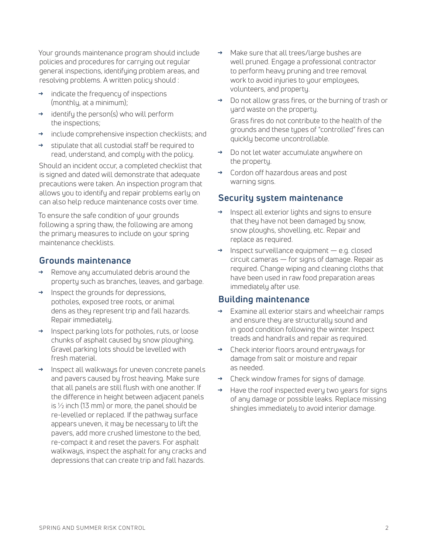Your grounds maintenance program should include policies and procedures for carrying out regular general inspections, identifying problem areas, and resolving problems. A written policy should :

- indicate the frequency of inspections (monthly, at a minimum);
- identify the person(s) who will perform the inspections;
- include comprehensive inspection checklists; and
- stipulate that all custodial staff be required to read, understand, and comply with the policy.

Should an incident occur, a completed checklist that is signed and dated will demonstrate that adequate precautions were taken. An inspection program that allows you to identify and repair problems early on can also help reduce maintenance costs over time.

To ensure the safe condition of your grounds following a spring thaw, the following are among the primary measures to include on your spring maintenance checklists.

## **Grounds maintenance**

- **→** Remove any accumulated debris around the property such as branches, leaves, and garbage.
- **→** Inspect the grounds for depressions, potholes, exposed tree roots, or animal dens as they represent trip and fall hazards. Repair immediately.
- **→** Inspect parking lots for potholes, ruts, or loose chunks of asphalt caused by snow ploughing. Gravel parking lots should be levelled with fresh material.
- **→** Inspect all walkways for uneven concrete panels and pavers caused by frost heaving. Make sure that all panels are still flush with one another. If the difference in height between adjacent panels is  $\frac{1}{2}$  inch (13 mm) or more, the panel should be re-levelled or replaced. If the pathway surface appears uneven, it may be necessary to lift the pavers, add more crushed limestone to the bed, re-compact it and reset the pavers. For asphalt walkways, inspect the asphalt for any cracks and depressions that can create trip and fall hazards.
- **→** Make sure that all trees/large bushes are well pruned. Engage a professional contractor to perform heavy pruning and tree removal work to avoid injuries to your employees, volunteers, and property.
- Do not allow grass fires, or the burning of trash or yard waste on the property.

Grass fires do not contribute to the health of the grounds and these types of "controlled" fires can quickly become uncontrollable.

- **→** Do not let water accumulate anywhere on the property.
- **→** Cordon off hazardous areas and post warning signs.

## **Security system maintenance**

- **→** Inspect all exterior lights and signs to ensure that they have not been damaged by snow, snow ploughs, shovelling, etc. Repair and replace as required.
- **→** Inspect surveillance equipment e.g. closed circuit cameras — for signs of damage. Repair as required. Change wiping and cleaning cloths that have been used in raw food preparation areas immediately after use.

### **Building maintenance**

- **→** Examine all exterior stairs and wheelchair ramps and ensure they are structurally sound and in good condition following the winter. Inspect treads and handrails and repair as required.
- **→** Check interior floors around entryways for damage from salt or moisture and repair as needed.
- **→** Check window frames for signs of damage.
- **→** Have the roof inspected every two years for signs of any damage or possible leaks. Replace missing shingles immediately to avoid interior damage.